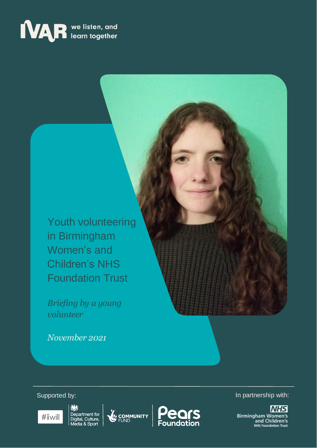# **MAR** we listen, and

Youth volunteering in Birmingham Women's and Children's NHS Foundation Trust

*Briefing by a young volunteer*

*November 2021*



嫁 Department for<br>Digital, Culture,<br>Media & Sport

COMMUNITY



Supported by: **In partnership with:**  $\blacksquare$ 

**NHS Birmingham Women's**<br>and Children's<br>NHS Foundation Trust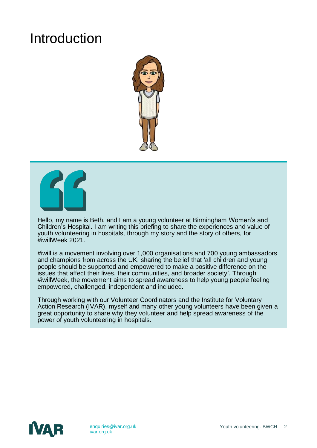### Introduction





Hello, my name is Beth, and I am a young volunteer at Birmingham Women's and Children's Hospital. I am writing this briefing to share the experiences and value of youth volunteering in hospitals, through my story and the story of others, for #iwillWeek 2021.

#iwill is a movement involving over 1,000 organisations and 700 young ambassadors and champions from across the UK, sharing the belief that 'all children and young people should be supported and empowered to make a positive difference on the issues that affect their lives, their communities, and broader society'. Through #iwillWeek, the movement aims to spread awareness to help young people feeling empowered, challenged, independent and included.

Through working with our Volunteer Coordinators and the Institute for Voluntary Action Research (IVAR), myself and many other young volunteers have been given a great opportunity to share why they volunteer and help spread awareness of the power of youth volunteering in hospitals.

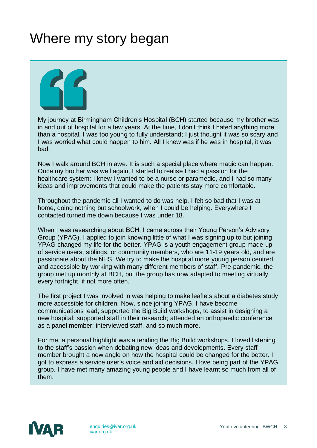### Where my story began



My journey at Birmingham Children's Hospital (BCH) started because my brother was in and out of hospital for a few years. At the time, I don't think I hated anything more than a hospital. I was too young to fully understand; I just thought it was so scary and I was worried what could happen to him. All I knew was if he was in hospital, it was bad.

Now I walk around BCH in awe. It is such a special place where magic can happen. Once my brother was well again, I started to realise I had a passion for the healthcare system: I knew I wanted to be a nurse or paramedic, and I had so many ideas and improvements that could make the patients stay more comfortable.

Throughout the pandemic all I wanted to do was help. I felt so bad that I was at home, doing nothing but schoolwork, when I could be helping. Everywhere I contacted turned me down because I was under 18.

When I was researching about BCH, I came across their Young Person's Advisory Group (YPAG). I applied to join knowing little of what I was signing up to but joining YPAG changed my life for the better. YPAG is a youth engagement group made up of service users, siblings, or community members, who are 11-19 years old, and are passionate about the NHS. We try to make the hospital more young person centred and accessible by working with many different members of staff. Pre-pandemic, the group met up monthly at BCH, but the group has now adapted to meeting virtually every fortnight, if not more often.

The first project I was involved in was helping to make leaflets about a diabetes study more accessible for children. Now, since joining YPAG, I have become communications lead; supported the Big Build workshops, to assist in designing a new hospital; supported staff in their research; attended an orthopaedic conference as a panel member; interviewed staff, and so much more.

For me, a personal highlight was attending the Big Build workshops. I loved listening to the staff's passion when debating new ideas and developments. Every staff member brought a new angle on how the hospital could be changed for the better. I got to express a service user's voice and aid decisions. I love being part of the YPAG group. I have met many amazing young people and I have learnt so much from all of them.

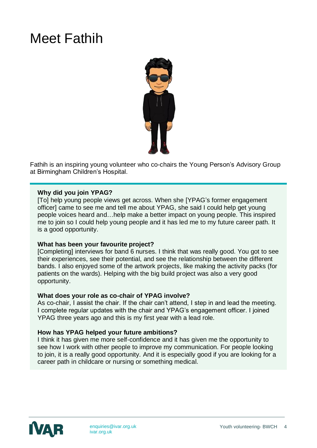# Meet Fathih



Fathih is an inspiring young volunteer who co-chairs the Young Person's Advisory Group at Birmingham Children's Hospital.

#### **Why did you join YPAG?**

[To] help young people views get across. When she [YPAG's former engagement officer] came to see me and tell me about YPAG, she said I could help get young people voices heard and…help make a better impact on young people. This inspired me to join so I could help young people and it has led me to my future career path. It is a good opportunity.

#### **What has been your favourite project?**

[Completing] interviews for band 6 nurses. I think that was really good. You got to see their experiences, see their potential, and see the relationship between the different bands. I also enjoyed some of the artwork projects, like making the activity packs (for patients on the wards). Helping with the big build project was also a very good opportunity.

#### **What does your role as co-chair of YPAG involve?**

As co-chair, I assist the chair. If the chair can't attend, I step in and lead the meeting. I complete regular updates with the chair and YPAG's engagement officer. I joined YPAG three years ago and this is my first year with a lead role.

#### **How has YPAG helped your future ambitions?**

I think it has given me more self-confidence and it has given me the opportunity to see how I work with other people to improve my communication. For people looking to join, it is a really good opportunity. And it is especially good if you are looking for a career path in childcare or nursing or something medical.

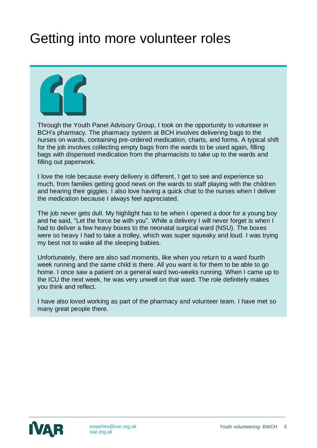# Getting into more volunteer roles



Through the Youth Panel Advisory Group, I took on the opportunity to volunteer in BCH's pharmacy. The pharmacy system at BCH involves delivering bags to the nurses on wards, containing pre-ordered medication, charts, and forms. A typical shift for the job involves collecting empty bags from the wards to be used again, filling bags with dispensed medication from the pharmacists to take up to the wards and filling out paperwork.

I love the role because every delivery is different, I get to see and experience so much, from families getting good news on the wards to staff playing with the children and hearing their giggles. I also love having a quick chat to the nurses when I deliver the medication because I always feel appreciated.

The job never gets dull. My highlight has to be when I opened a door for a young boy and he said, "Let the force be with you". While a delivery I will never forget is when I had to deliver a few heavy boxes to the neonatal surgical ward (NSU). The boxes were so heavy I had to take a trolley, which was super squeaky and loud. I was trying my best not to wake all the sleeping babies.

Unfortunately, there are also sad moments, like when you return to a ward fourth week running and the same child is there. All you want is for them to be able to go home. I once saw a patient on a general ward two-weeks running. When I came up to the ICU the next week, he was very unwell on that ward. The role definitely makes you think and reflect.

I have also loved working as part of the pharmacy and volunteer team. I have met so many great people there.

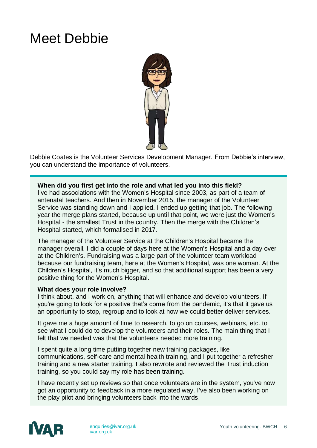### Meet Debbie



Debbie Coates is the Volunteer Services Development Manager. From Debbie's interview, you can understand the importance of volunteers.

#### **When did you first get into the role and what led you into this field?**

I've had associations with the Women's Hospital since 2003, as part of a team of antenatal teachers. And then in November 2015, the manager of the Volunteer Service was standing down and I applied. I ended up getting that job. The following year the merge plans started, because up until that point, we were just the Women's Hospital - the smallest Trust in the country. Then the merge with the Children's Hospital started, which formalised in 2017.

The manager of the Volunteer Service at the Children's Hospital became the manager overall. I did a couple of days here at the Women's Hospital and a day over at the Children's. Fundraising was a large part of the volunteer team workload because our fundraising team, here at the Women's Hospital, was one woman. At the Children's Hospital, it's much bigger, and so that additional support has been a very positive thing for the Women's Hospital.

#### **What does your role involve?**

I think about, and I work on, anything that will enhance and develop volunteers. If you're going to look for a positive that's come from the pandemic, it's that it gave us an opportunity to stop, regroup and to look at how we could better deliver services.

It gave me a huge amount of time to research, to go on courses, webinars, etc. to see what I could do to develop the volunteers and their roles. The main thing that I felt that we needed was that the volunteers needed more training.

I spent quite a long time putting together new training packages, like communications, self-care and mental health training, and I put together a refresher training and a new starter training. I also rewrote and reviewed the Trust induction training, so you could say my role has been training.

I have recently set up reviews so that once volunteers are in the system, you've now got an opportunity to feedback in a more regulated way. I've also been working on the play pilot and bringing volunteers back into the wards.

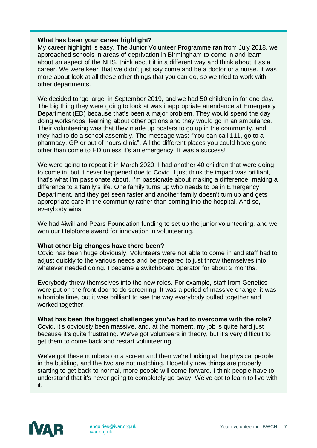#### **What has been your career highlight?**

My career highlight is easy. The Junior Volunteer Programme ran from July 2018, we approached schools in areas of deprivation in Birmingham to come in and learn about an aspect of the NHS, think about it in a different way and think about it as a career. We were keen that we didn't just say come and be a doctor or a nurse, it was more about look at all these other things that you can do, so we tried to work with other departments.

We decided to 'go large' in September 2019, and we had 50 children in for one day. The big thing they were going to look at was inappropriate attendance at Emergency Department (ED) because that's been a major problem. They would spend the day doing workshops, learning about other options and they would go in an ambulance. Their volunteering was that they made up posters to go up in the community, and they had to do a school assembly. The message was: "You can call 111, go to a pharmacy, GP or out of hours clinic". All the different places you could have gone other than come to ED unless it's an emergency. It was a success!

We were going to repeat it in March 2020; I had another 40 children that were going to come in, but it never happened due to Covid. I just think the impact was brilliant, that's what I'm passionate about. I'm passionate about making a difference, making a difference to a family's life. One family turns up who needs to be in Emergency Department, and they get seen faster and another family doesn't turn up and gets appropriate care in the community rather than coming into the hospital. And so, everybody wins.

We had #iwill and Pears Foundation funding to set up the junior volunteering, and we won our Helpforce award for innovation in volunteering.

#### **What other big changes have there been?**

Covid has been huge obviously. Volunteers were not able to come in and staff had to adjust quickly to the various needs and be prepared to just throw themselves into whatever needed doing. I became a switchboard operator for about 2 months.

Everybody threw themselves into the new roles. For example, staff from Genetics were put on the front door to do screening. It was a period of massive change; it was a horrible time, but it was brilliant to see the way everybody pulled together and worked together.

**What has been the biggest challenges you've had to overcome with the role?** Covid, it's obviously been massive, and, at the moment, my job is quite hard just because it's quite frustrating. We've got volunteers in theory, but it's very difficult to get them to come back and restart volunteering.

We've got these numbers on a screen and then we're looking at the physical people in the building, and the two are not matching. Hopefully now things are properly starting to get back to normal, more people will come forward. I think people have to understand that it's never going to completely go away. We've got to learn to live with it.

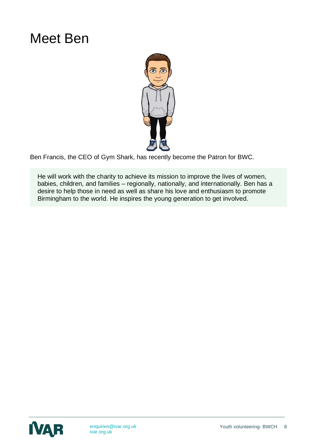### Meet Ben



Ben Francis, the CEO of Gym Shark, has recently become the Patron for BWC.

He will work with the charity to achieve its mission to improve the lives of women, babies, children, and families – regionally, nationally, and internationally. Ben has a desire to help those in need as well as share his love and enthusiasm to promote Birmingham to the world. He inspires the young generation to get involved.

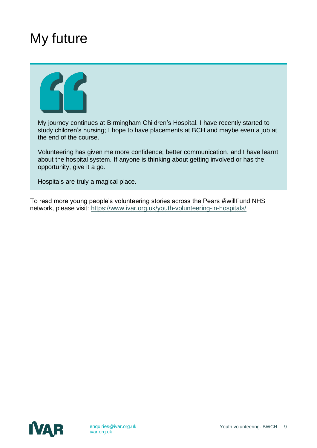### My future



My journey continues at Birmingham Children's Hospital. I have recently started to study children's nursing; I hope to have placements at BCH and maybe even a job at the end of the course.

Volunteering has given me more confidence; better communication, and I have learnt about the hospital system. If anyone is thinking about getting involved or has the opportunity, give it a go.

Hospitals are truly a magical place.

To read more young people's volunteering stories across the Pears #iwillFund NHS network, please visit:<https://www.ivar.org.uk/youth-volunteering-in-hospitals/>